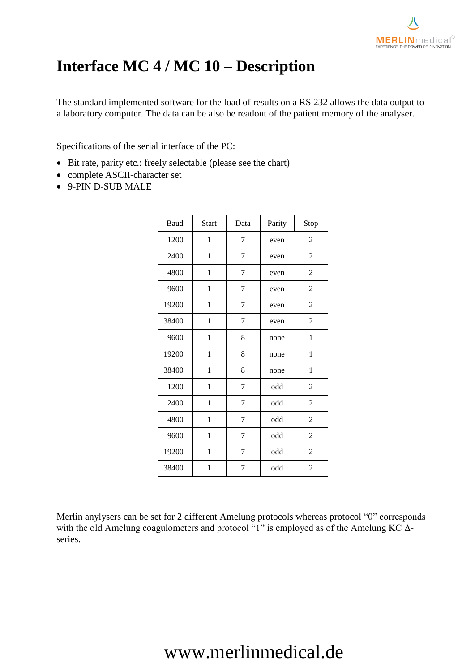

### **Interface MC 4 / MC 10 – Description**

The standard implemented software for the load of results on a RS 232 allows the data output to a laboratory computer. The data can be also be readout of the patient memory of the analyser.

#### Specifications of the serial interface of the PC:

- Bit rate, parity etc.: freely selectable (please see the chart)
- complete ASCII-character set
- 9-PIN D-SUB MALE

| Baud  | <b>Start</b> | Data | Parity               | Stop           |
|-------|--------------|------|----------------------|----------------|
| 1200  | 1            | 7    | even                 | 2              |
| 2400  | 1            | 7    | even                 | $\overline{c}$ |
| 4800  | 1            | 7    | even                 | $\overline{c}$ |
| 9600  | 1            | 7    | even                 | 2              |
| 19200 | 1            | 7    | even                 | $\overline{c}$ |
| 38400 | 1            | 7    | even                 | $\mathfrak{2}$ |
| 9600  | 1            | 8    | none                 | 1              |
| 19200 | 1            | 8    | none                 | $\mathbf{1}$   |
| 38400 | 1            | 8    | none                 | $\mathbf{1}$   |
| 1200  | 1            | 7    | odd                  | 2              |
| 2400  | 1            | 7    | odd                  | $\overline{c}$ |
| 4800  | $\mathbf{1}$ | 7    | odd                  | $\overline{c}$ |
| 9600  | $\mathbf{1}$ | 7    | $\operatorname{odd}$ | $\overline{2}$ |
| 19200 | 1            | 7    | odd                  | $\overline{c}$ |
| 38400 | 1            | 7    | odd                  | $\overline{c}$ |

Merlin anylysers can be set for 2 different Amelung protocols whereas protocol "0" corresponds with the old Amelung coagulometers and protocol "1" is employed as of the Amelung KC Δseries.

# www.merlinmedical.de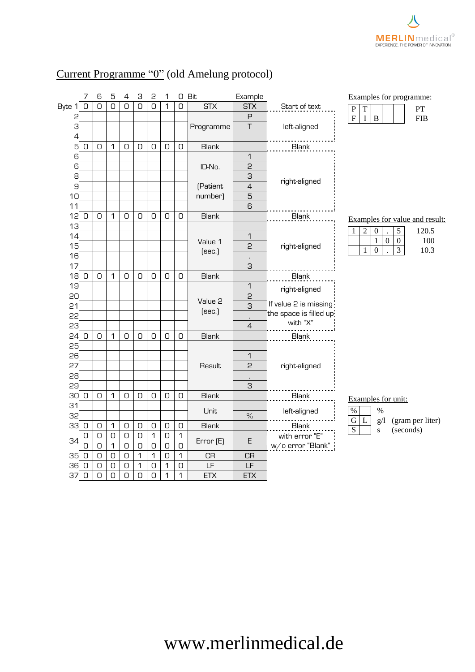### Current Programme "0" (old Amelung protocol)

|          | 7           | 6      | 5           | 4          | З              | 2           | 1          | O           | Bit          | Example             |                         | Examples for programme:                                       |
|----------|-------------|--------|-------------|------------|----------------|-------------|------------|-------------|--------------|---------------------|-------------------------|---------------------------------------------------------------|
| Byte 1   | $\cup$      | $\cup$ | 0           | 0          | $\overline{O}$ | 0           | 1          | O           | <b>STX</b>   | <b>STX</b>          | Start of text           | $\overline{P}$<br>$\overline{T}$<br>PT                        |
| 2        |             |        |             |            |                |             |            |             |              | P                   |                         | $\overline{F}$<br>$\overline{B}$<br>$\mathbf I$<br><b>FIB</b> |
| 3<br>4   |             |        |             |            |                |             |            |             | Programme    | T                   | left-aligned            |                                                               |
| 5        | $\cup$      | 0      | 1           | 0          | 0              | 0           | 0          | $\hbox{O}$  | <b>Blank</b> |                     | <b>Blank</b>            |                                                               |
| 6        |             |        |             |            |                |             |            |             |              | 1                   |                         |                                                               |
| 6        |             |        |             |            |                |             |            |             | ID-No.       | $\overline{c}$      |                         |                                                               |
| 8        |             |        |             |            |                |             |            |             |              | 3                   |                         |                                                               |
| 9        |             |        |             |            |                |             |            |             | (Patient     | $\overline{4}$      | right-aligned           |                                                               |
| 10       |             |        |             |            |                |             |            |             | number)      | 5                   |                         |                                                               |
| 11       |             |        |             |            |                |             |            |             |              | 6                   |                         |                                                               |
| 12       | 0           | 0      | 1           | 0          | 0              | 0           | $\cup$     | 0           | <b>Blank</b> |                     | Blank                   | Examples for value and result:                                |
| 13       |             |        |             |            |                |             |            |             |              |                     |                         | $\overline{c}$<br>5<br>120.5<br>$\boldsymbol{0}$<br>1         |
| 14       |             |        |             |            |                |             |            |             | Value 1      | 1                   |                         | $\boldsymbol{0}$<br>100<br>$\overline{0}$<br>1                |
| 15       |             |        |             |            |                |             |            |             | [sec.]       | 2                   | right-aligned           | $\boldsymbol{0}$<br>$\overline{3}$<br>10.3<br>$\mathbf{1}$    |
| 16<br>17 |             |        |             |            |                |             |            |             |              | $\blacksquare$<br>3 |                         |                                                               |
| 18       | $\circ$     | 0      | 1           | 0          | 0              | 0           | 0          | 0           | <b>Blank</b> |                     | Blank                   |                                                               |
| 19       |             |        |             |            |                |             |            |             |              | $\mathbf 1$         |                         |                                                               |
| 20       |             |        |             |            |                |             |            |             |              | 2                   | right-aligned           |                                                               |
| 21       |             |        |             |            |                |             |            |             | Value 2      | $\overline{3}$      | If value 2 is missing   |                                                               |
| 22       |             |        |             |            |                |             |            |             | [sec.]       |                     | the space is filled up: |                                                               |
| 23       |             |        |             |            |                |             |            |             |              | $\overline{4}$      | with "X"                |                                                               |
| 24       | $\cup$      | $\cup$ | 1           | O          | $\mathsf D$    | O           | 0          | 0           | <b>Blank</b> |                     | Blank                   |                                                               |
| 25       |             |        |             |            |                |             |            |             |              |                     |                         |                                                               |
| 26       |             |        |             |            |                |             |            |             |              | $\mathbf 1$         |                         |                                                               |
| 27       |             |        |             |            |                |             |            |             | Result       | 2                   | right-aligned           |                                                               |
| 28       |             |        |             |            |                |             |            |             |              |                     |                         |                                                               |
| 29       |             |        |             |            |                |             |            |             |              | 3                   |                         |                                                               |
| 30<br>31 | 0           | 0      | 1           | 0          | 0              | 0           | $\cup$     | 0           | <b>Blank</b> |                     | <b>Blank</b>            | Examples for unit:                                            |
| 32       |             |        |             |            |                |             |            |             | Unit         | $\%$                | left-aligned            | $\%$<br>$\%$                                                  |
| 33       | $\circ$     | 0      | 1           | O          | $\hbox{O}$     | $\hbox{O}$  | $\hbox{O}$ | $\hbox{O}$  | <b>Blank</b> |                     | Blank                   | (gram per liter)<br>${\bf G}$<br>g/l<br>L                     |
|          | 0           | 0      | $\hbox{O}$  | 0          | 0              | $\mathbf 1$ | $\hbox{O}$ | $\mathbf 1$ |              |                     | with error "E"          | $\overline{S}$<br>(seconds)<br>${\bf S}$                      |
| 34       | 0           | 0      | 1           | $\hbox{O}$ | O              | O           | $\hbox{O}$ | $\mathsf D$ | Error (E)    | E                   | w/o error "Blank"       |                                                               |
| 35       | $\mathsf D$ | O      | $\mathsf D$ | $\hbox{O}$ | 1              | 1           | $\cup$     | $\mathbf 1$ | <b>CR</b>    | <b>CR</b>           |                         |                                                               |
| 36       | $\bigcirc$  | $\cup$ | $\mathsf D$ | $\cup$     | 1              | $\cup$      | 1          | O           | LF           | LF                  |                         |                                                               |
| 37       |             |        |             |            |                |             |            |             |              |                     |                         |                                                               |